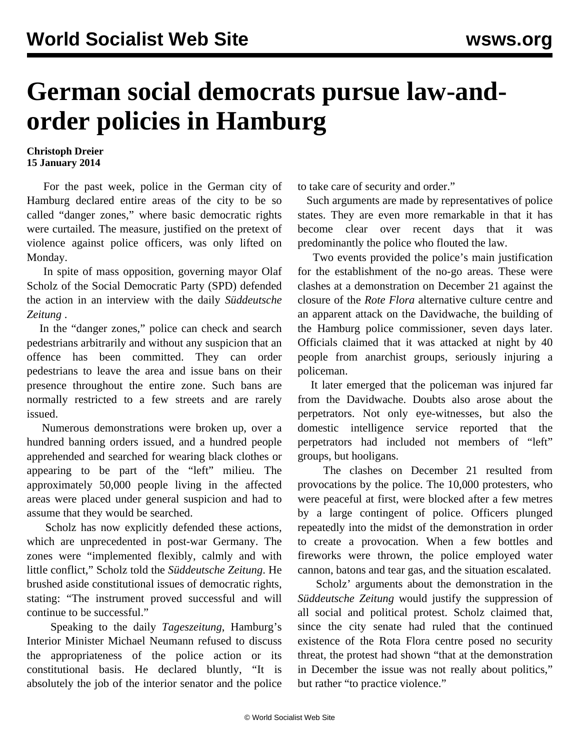## **German social democrats pursue law-andorder policies in Hamburg**

## **Christoph Dreier 15 January 2014**

 For the past week, police in the German city of Hamburg declared entire areas of the city to be so called "danger zones," where basic democratic rights were curtailed. The measure, justified on the pretext of violence against police officers, was only lifted on Monday.

 In spite of mass opposition, governing mayor Olaf Scholz of the Social Democratic Party (SPD) defended the action in an interview with the daily *Süddeutsche Zeitung* .

 In the "danger zones," police can check and search pedestrians arbitrarily and without any suspicion that an offence has been committed. They can order pedestrians to leave the area and issue bans on their presence throughout the entire zone. Such bans are normally restricted to a few streets and are rarely issued.

 Numerous demonstrations were broken up, over a hundred banning orders issued, and a hundred people apprehended and searched for wearing black clothes or appearing to be part of the "left" milieu. The approximately 50,000 people living in the affected areas were placed under general suspicion and had to assume that they would be searched.

 Scholz has now explicitly defended these actions, which are unprecedented in post-war Germany. The zones were "implemented flexibly, calmly and with little conflict," Scholz told the *Süddeutsche Zeitung*. He brushed aside constitutional issues of democratic rights, stating: "The instrument proved successful and will continue to be successful."

 Speaking to the daily *Tageszeitung*, Hamburg's Interior Minister Michael Neumann refused to discuss the appropriateness of the police action or its constitutional basis. He declared bluntly, "It is absolutely the job of the interior senator and the police to take care of security and order."

 Such arguments are made by representatives of police states. They are even more remarkable in that it has become clear over recent days that it was predominantly the police who flouted the law.

 Two events provided the police's main justification for the establishment of the no-go areas. These were clashes at a demonstration on December 21 against the closure of the *Rote Flora* alternative culture centre and an apparent attack on the Davidwache, the building of the Hamburg police commissioner, seven days later. Officials claimed that it was attacked at night by 40 people from anarchist groups, seriously injuring a policeman.

 It later emerged that the policeman was injured far from the Davidwache. Doubts also arose about the perpetrators. Not only eye-witnesses, but also the domestic intelligence service reported that the perpetrators had included not members of "left" groups, but hooligans.

 The clashes on December 21 resulted from provocations by the police. The 10,000 protesters, who were peaceful at first, were blocked after a few metres by a large contingent of police. Officers plunged repeatedly into the midst of the demonstration in order to create a provocation. When a few bottles and fireworks were thrown, the police employed water cannon, batons and tear gas, and the situation escalated.

 Scholz' arguments about the demonstration in the *Süddeutsche Zeitung* would justify the suppression of all social and political protest. Scholz claimed that, since the city senate had ruled that the continued existence of the Rota Flora centre posed no security threat, the protest had shown "that at the demonstration in December the issue was not really about politics," but rather "to practice violence."